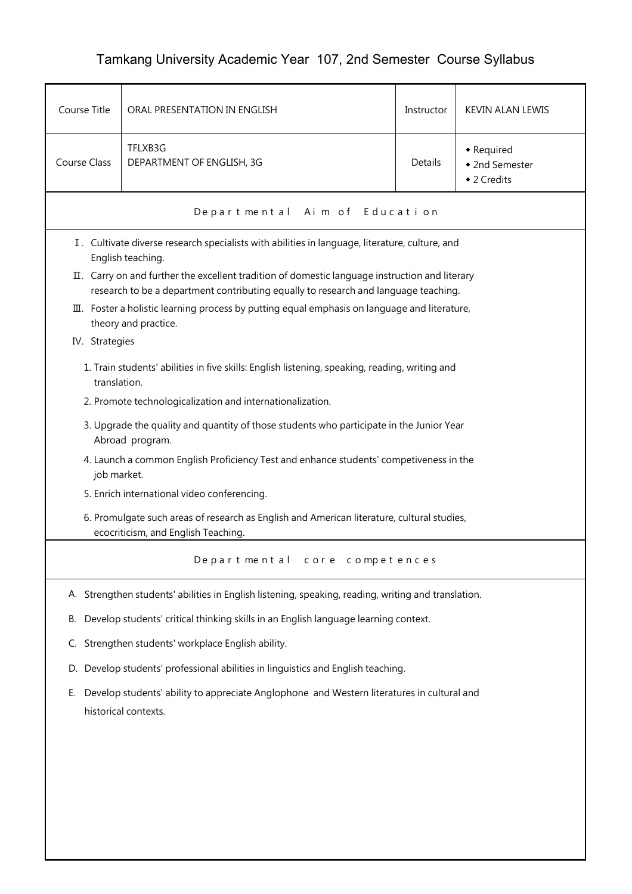## Tamkang University Academic Year 107, 2nd Semester Course Syllabus

| Course Title        | ORAL PRESENTATION IN ENGLISH                                                                                                                                                          | Instructor | <b>KEVIN ALAN LEWIS</b>                     |  |  |  |
|---------------------|---------------------------------------------------------------------------------------------------------------------------------------------------------------------------------------|------------|---------------------------------------------|--|--|--|
| <b>Course Class</b> | TFLXB3G<br>DEPARTMENT OF ENGLISH, 3G                                                                                                                                                  | Details    | • Required<br>◆ 2nd Semester<br>◆ 2 Credits |  |  |  |
|                     | Departmental Aim of Education                                                                                                                                                         |            |                                             |  |  |  |
|                     | I. Cultivate diverse research specialists with abilities in language, literature, culture, and<br>English teaching.                                                                   |            |                                             |  |  |  |
|                     | II. Carry on and further the excellent tradition of domestic language instruction and literary<br>research to be a department contributing equally to research and language teaching. |            |                                             |  |  |  |
|                     | $\overline{u}$ . Foster a holistic learning process by putting equal emphasis on language and literature,<br>theory and practice.                                                     |            |                                             |  |  |  |
| IV. Strategies      |                                                                                                                                                                                       |            |                                             |  |  |  |
|                     | 1. Train students' abilities in five skills: English listening, speaking, reading, writing and<br>translation.                                                                        |            |                                             |  |  |  |
|                     | 2. Promote technologicalization and internationalization.                                                                                                                             |            |                                             |  |  |  |
|                     | 3. Upgrade the quality and quantity of those students who participate in the Junior Year<br>Abroad program.                                                                           |            |                                             |  |  |  |
|                     | 4. Launch a common English Proficiency Test and enhance students' competiveness in the<br>job market.                                                                                 |            |                                             |  |  |  |
|                     | 5. Enrich international video conferencing.                                                                                                                                           |            |                                             |  |  |  |
|                     | 6. Promulgate such areas of research as English and American literature, cultural studies,<br>ecocriticism, and English Teaching.                                                     |            |                                             |  |  |  |
|                     | Departmental core competences                                                                                                                                                         |            |                                             |  |  |  |
|                     | A. Strengthen students' abilities in English listening, speaking, reading, writing and translation.                                                                                   |            |                                             |  |  |  |
| В.                  | Develop students' critical thinking skills in an English language learning context.                                                                                                   |            |                                             |  |  |  |
| C.                  | Strengthen students' workplace English ability.                                                                                                                                       |            |                                             |  |  |  |
|                     | D. Develop students' professional abilities in linguistics and English teaching.                                                                                                      |            |                                             |  |  |  |
| Е.                  | Develop students' ability to appreciate Anglophone and Western literatures in cultural and<br>historical contexts.                                                                    |            |                                             |  |  |  |
|                     |                                                                                                                                                                                       |            |                                             |  |  |  |
|                     |                                                                                                                                                                                       |            |                                             |  |  |  |
|                     |                                                                                                                                                                                       |            |                                             |  |  |  |
|                     |                                                                                                                                                                                       |            |                                             |  |  |  |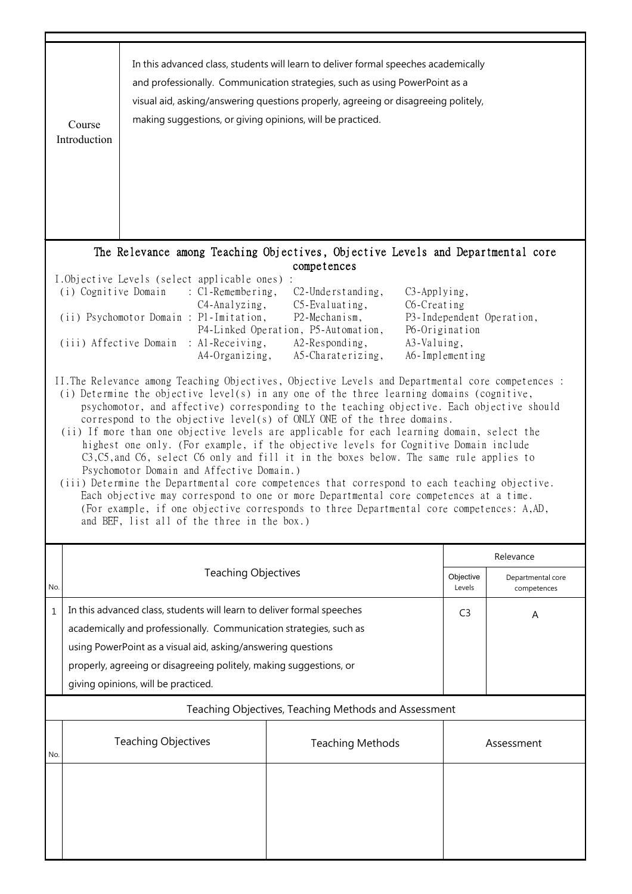|     | In this advanced class, students will learn to deliver formal speeches academically<br>and professionally. Communication strategies, such as using PowerPoint as a<br>visual aid, asking/answering questions properly, agreeing or disagreeing politely,<br>making suggestions, or giving opinions, will be practiced.<br>Course<br>Introduction                                                                                                                                                                                                                                                                                                                                                                                                                                                                                                                                                                                                                                                                                                                                                                                                                                                                                                                                                                                                                                                                                                                                                                                                         |                            |                         |                     |                                  |  |  |  |
|-----|----------------------------------------------------------------------------------------------------------------------------------------------------------------------------------------------------------------------------------------------------------------------------------------------------------------------------------------------------------------------------------------------------------------------------------------------------------------------------------------------------------------------------------------------------------------------------------------------------------------------------------------------------------------------------------------------------------------------------------------------------------------------------------------------------------------------------------------------------------------------------------------------------------------------------------------------------------------------------------------------------------------------------------------------------------------------------------------------------------------------------------------------------------------------------------------------------------------------------------------------------------------------------------------------------------------------------------------------------------------------------------------------------------------------------------------------------------------------------------------------------------------------------------------------------------|----------------------------|-------------------------|---------------------|----------------------------------|--|--|--|
|     | The Relevance among Teaching Objectives, Objective Levels and Departmental core                                                                                                                                                                                                                                                                                                                                                                                                                                                                                                                                                                                                                                                                                                                                                                                                                                                                                                                                                                                                                                                                                                                                                                                                                                                                                                                                                                                                                                                                          |                            |                         |                     |                                  |  |  |  |
|     | competences<br>I.Objective Levels (select applicable ones) :<br>(i) Cognitive Domain<br>$\therefore$ C1-Remembering,<br>$C2$ -Understanding,<br>C3-Applying,<br>C4-Analyzing,<br>$C5$ -Evaluating,<br>C6-Creating<br>(ii) Psychomotor Domain : P1-Imitation,<br>P2-Mechanism,<br>P3-Independent Operation,<br>P4-Linked Operation, P5-Automation,<br>P6-Origination<br>: Al-Receiving,<br>(iii) Affective Domain<br>A2-Responding,<br>A3-Valuing,<br>A4-Organizing,<br>A5-Charaterizing,<br>A6-Implementing<br>II. The Relevance among Teaching Objectives, Objective Levels and Departmental core competences :<br>(i) Determine the objective level(s) in any one of the three learning domains (cognitive,<br>psychomotor, and affective) corresponding to the teaching objective. Each objective should<br>correspond to the objective level(s) of ONLY ONE of the three domains.<br>(ii) If more than one objective levels are applicable for each learning domain, select the<br>highest one only. (For example, if the objective levels for Cognitive Domain include<br>C3, C5, and C6, select C6 only and fill it in the boxes below. The same rule applies to<br>Psychomotor Domain and Affective Domain.)<br>(iii) Determine the Departmental core competences that correspond to each teaching objective.<br>Each objective may correspond to one or more Departmental core competences at a time.<br>(For example, if one objective corresponds to three Departmental core competences: A,AD,<br>and BEF, list all of the three in the box.) |                            |                         |                     |                                  |  |  |  |
|     |                                                                                                                                                                                                                                                                                                                                                                                                                                                                                                                                                                                                                                                                                                                                                                                                                                                                                                                                                                                                                                                                                                                                                                                                                                                                                                                                                                                                                                                                                                                                                          |                            |                         |                     | Relevance                        |  |  |  |
| No. |                                                                                                                                                                                                                                                                                                                                                                                                                                                                                                                                                                                                                                                                                                                                                                                                                                                                                                                                                                                                                                                                                                                                                                                                                                                                                                                                                                                                                                                                                                                                                          | <b>Teaching Objectives</b> |                         | Objective<br>Levels | Departmental core<br>competences |  |  |  |
| 1   | In this advanced class, students will learn to deliver formal speeches<br>C <sub>3</sub><br>Α<br>academically and professionally. Communication strategies, such as<br>using PowerPoint as a visual aid, asking/answering questions<br>properly, agreeing or disagreeing politely, making suggestions, or<br>giving opinions, will be practiced.                                                                                                                                                                                                                                                                                                                                                                                                                                                                                                                                                                                                                                                                                                                                                                                                                                                                                                                                                                                                                                                                                                                                                                                                         |                            |                         |                     |                                  |  |  |  |
|     | Teaching Objectives, Teaching Methods and Assessment                                                                                                                                                                                                                                                                                                                                                                                                                                                                                                                                                                                                                                                                                                                                                                                                                                                                                                                                                                                                                                                                                                                                                                                                                                                                                                                                                                                                                                                                                                     |                            |                         |                     |                                  |  |  |  |
| No. |                                                                                                                                                                                                                                                                                                                                                                                                                                                                                                                                                                                                                                                                                                                                                                                                                                                                                                                                                                                                                                                                                                                                                                                                                                                                                                                                                                                                                                                                                                                                                          | <b>Teaching Objectives</b> | <b>Teaching Methods</b> |                     | Assessment                       |  |  |  |
|     |                                                                                                                                                                                                                                                                                                                                                                                                                                                                                                                                                                                                                                                                                                                                                                                                                                                                                                                                                                                                                                                                                                                                                                                                                                                                                                                                                                                                                                                                                                                                                          |                            |                         |                     |                                  |  |  |  |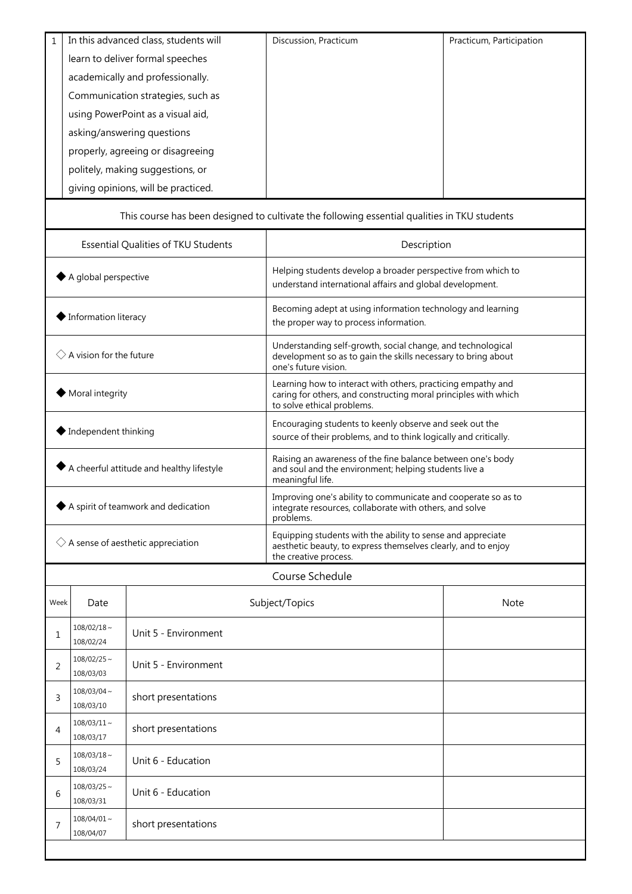| $\mathbf{1}$                                              |                               | In this advanced class, students will | Discussion, Practicum                                                                                                                                         | Practicum, Participation |  |
|-----------------------------------------------------------|-------------------------------|---------------------------------------|---------------------------------------------------------------------------------------------------------------------------------------------------------------|--------------------------|--|
| learn to deliver formal speeches                          |                               |                                       |                                                                                                                                                               |                          |  |
| academically and professionally.                          |                               |                                       |                                                                                                                                                               |                          |  |
|                                                           |                               | Communication strategies, such as     |                                                                                                                                                               |                          |  |
|                                                           |                               | using PowerPoint as a visual aid,     |                                                                                                                                                               |                          |  |
|                                                           |                               | asking/answering questions            |                                                                                                                                                               |                          |  |
|                                                           |                               | properly, agreeing or disagreeing     |                                                                                                                                                               |                          |  |
|                                                           |                               | politely, making suggestions, or      |                                                                                                                                                               |                          |  |
|                                                           |                               | giving opinions, will be practiced.   |                                                                                                                                                               |                          |  |
|                                                           |                               |                                       | This course has been designed to cultivate the following essential qualities in TKU students                                                                  |                          |  |
|                                                           |                               | Essential Qualities of TKU Students   | Description                                                                                                                                                   |                          |  |
| A global perspective                                      |                               |                                       | Helping students develop a broader perspective from which to<br>understand international affairs and global development.                                      |                          |  |
| Information literacy                                      |                               |                                       | Becoming adept at using information technology and learning<br>the proper way to process information.                                                         |                          |  |
| $\Diamond$ A vision for the future                        |                               |                                       | Understanding self-growth, social change, and technological<br>development so as to gain the skills necessary to bring about<br>one's future vision.          |                          |  |
| Moral integrity                                           |                               |                                       | Learning how to interact with others, practicing empathy and<br>caring for others, and constructing moral principles with which<br>to solve ethical problems. |                          |  |
| $\blacktriangleright$ Independent thinking                |                               |                                       | Encouraging students to keenly observe and seek out the<br>source of their problems, and to think logically and critically.                                   |                          |  |
| $\blacklozenge$ A cheerful attitude and healthy lifestyle |                               |                                       | Raising an awareness of the fine balance between one's body<br>and soul and the environment; helping students live a<br>meaningful life.                      |                          |  |
| A spirit of teamwork and dedication                       |                               |                                       | Improving one's ability to communicate and cooperate so as to<br>integrate resources, collaborate with others, and solve<br>problems.                         |                          |  |
| $\diamondsuit$ A sense of aesthetic appreciation          |                               |                                       | Equipping students with the ability to sense and appreciate<br>aesthetic beauty, to express themselves clearly, and to enjoy<br>the creative process.         |                          |  |
|                                                           |                               |                                       | Course Schedule                                                                                                                                               |                          |  |
| Week                                                      | Date                          |                                       | Subject/Topics                                                                                                                                                | <b>Note</b>              |  |
| 1                                                         | $108/02/18 \sim$<br>108/02/24 | Unit 5 - Environment                  |                                                                                                                                                               |                          |  |
| 2                                                         | $108/02/25$ ~<br>108/03/03    | Unit 5 - Environment                  |                                                                                                                                                               |                          |  |
| 3                                                         | $108/03/04$ ~<br>108/03/10    | short presentations                   |                                                                                                                                                               |                          |  |
| 4                                                         | $108/03/11 \sim$<br>108/03/17 | short presentations                   |                                                                                                                                                               |                          |  |
| 5                                                         | $108/03/18 \sim$<br>108/03/24 | Unit 6 - Education                    |                                                                                                                                                               |                          |  |
| 6                                                         | $108/03/25$ ~<br>108/03/31    | Unit 6 - Education                    |                                                                                                                                                               |                          |  |
| 7                                                         | $108/04/01$ ~<br>108/04/07    | short presentations                   |                                                                                                                                                               |                          |  |
|                                                           |                               |                                       |                                                                                                                                                               |                          |  |